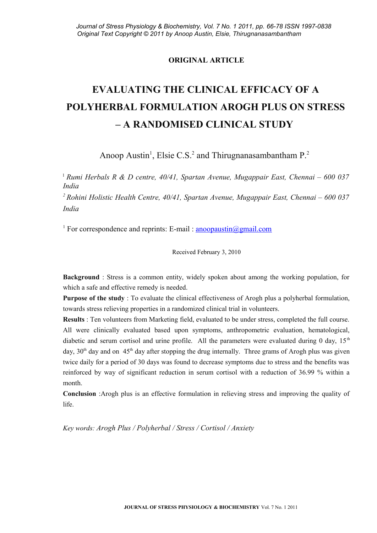# **ORIGINAL ARTICLE**

# **EVALUATING THE CLINICAL EFFICACY OF A POLYHERBAL FORMULATION AROGH PLUS ON STRESS – A RANDOMISED CLINICAL STUDY**

Anoop Austin<sup>1</sup>, Elsie C.S.<sup>2</sup> and Thirugnanasambantham  $P^2$ .

<sup>1</sup>*Rumi Herbals R & D centre, 40/41, Spartan Avenue, Mugappair East, Chennai – 600 037 India*

*<sup>2</sup>Rohini Holistic Health Centre, 40/41, Spartan Avenue, Mugappair East, Chennai – 600 037 India*

<sup>1</sup> For correspondence and reprints: E-mail : **anoopaustin@gmail.com** 

Received February 3, 2010

**Background** : Stress is a common entity, widely spoken about among the working population, for which a safe and effective remedy is needed.

**Purpose of the study** : To evaluate the clinical effectiveness of Arogh plus a polyherbal formulation, towards stress relieving properties in a randomized clinical trial in volunteers.

**Results** : Ten volunteers from Marketing field, evaluated to be under stress, completed the full course. All were clinically evaluated based upon symptoms, anthropometric evaluation, hematological, diabetic and serum cortisol and urine profile. All the parameters were evaluated during 0 day,  $15<sup>th</sup>$ day,  $30<sup>th</sup>$  day and on  $45<sup>th</sup>$  day after stopping the drug internally. Three grams of Arogh plus was given twice daily for a period of 30 days was found to decrease symptoms due to stress and the benefits was reinforced by way of significant reduction in serum cortisol with a reduction of 36.99 % within a month.

**Conclusion** :Arogh plus is an effective formulation in relieving stress and improving the quality of life.

*Key words: Arogh Plus / Polyherbal / Stress / Cortisol / Anxiety*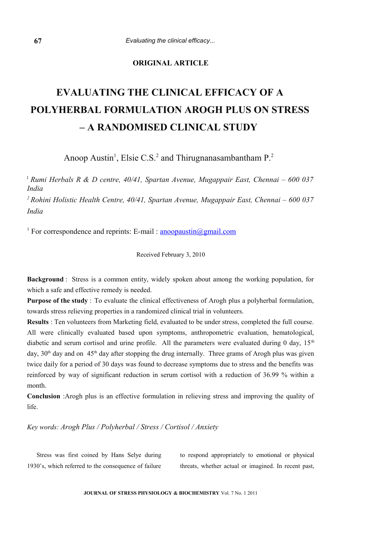## **ORIGINAL ARTICLE**

# **EVALUATING THE CLINICAL EFFICACY OF A POLYHERBAL FORMULATION AROGH PLUS ON STRESS – A RANDOMISED CLINICAL STUDY**

Anoop Austin<sup>1</sup>, Elsie C.S.<sup>2</sup> and Thirugnanasambantham  $P^2$ .

<sup>1</sup>*Rumi Herbals R & D centre, 40/41, Spartan Avenue, Mugappair East, Chennai – 600 037 India*

*<sup>2</sup>Rohini Holistic Health Centre, 40/41, Spartan Avenue, Mugappair East, Chennai – 600 037 India*

<sup>1</sup> For correspondence and reprints: E-mail : [anoopaustin@gmail.com](mailto:anoopaustin@gmail.com)

Received February 3, 2010

**Background** : Stress is a common entity, widely spoken about among the working population, for which a safe and effective remedy is needed.

**Purpose of the study** : To evaluate the clinical effectiveness of Arogh plus a polyherbal formulation, towards stress relieving properties in a randomized clinical trial in volunteers.

**Results** : Ten volunteers from Marketing field, evaluated to be under stress, completed the full course. All were clinically evaluated based upon symptoms, anthropometric evaluation, hematological, diabetic and serum cortisol and urine profile. All the parameters were evaluated during 0 day,  $15<sup>th</sup>$ day,  $30<sup>th</sup>$  day and on  $45<sup>th</sup>$  day after stopping the drug internally. Three grams of Arogh plus was given twice daily for a period of 30 days was found to decrease symptoms due to stress and the benefits was reinforced by way of significant reduction in serum cortisol with a reduction of 36.99 % within a month.

**Conclusion** :Arogh plus is an effective formulation in relieving stress and improving the quality of life.

*Key words: Arogh Plus / Polyherbal / Stress / Cortisol / Anxiety*

Stress was first coined by Hans Selye during 1930's, which referred to the consequence of failure to respond appropriately to emotional or physical threats, whether actual or imagined. In recent past,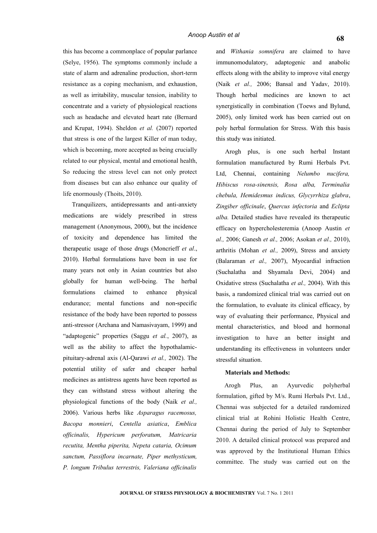this has become a commonplace of popular parlance (Selye, 1956). The symptoms commonly include a state of alarm and adrenaline production, short-term resistance as a coping mechanism, and exhaustion, as well as irritability, muscular tension, inability to concentrate and a variety of physiological reactions such as headache and elevated heart rate (Bernard and Krupat, 1994). Sheldon *et al.* (2007) reported that stress is one of the largest Killer of man today, which is becoming, more accepted as being crucially related to our physical, mental and emotional health, So reducing the stress level can not only protect from diseases but can also enhance our quality of life enormously (Thoits, 2010).

Tranquilizers, antidepressants and anti-anxiety medications are widely prescribed in stress management (Anonymous, 2000), but the incidence of toxicity and dependence has limited the therapeutic usage of those drugs (Moncrieff *et al*., 2010). Herbal formulations have been in use for many years not only in Asian countries but also globally for human well-being. The herbal formulations claimed to enhance physical endurance; mental functions and non-specific resistance of the body have been reported to possess anti-stressor (Archana and Namasivayam, 1999) and "adaptogenic" properties (Saggu *et al.*, 2007), as well as the ability to affect the hypothalamicpituitary-adrenal axis (Al-Qarawi *et al.,* 2002). The potential utility of safer and cheaper herbal medicines as antistress agents have been reported as they can withstand stress without altering the physiological functions of the body (Naik *et al.,* 2006). Various herbs like *Asparagus racemosus, Bacopa monnieri*, *Centella asiatica*, *Emblica officinalis, Hypericum perforatum, Matricaria recutita, Mentha piperita, Nepeta cataria, Ocimum sanctum, Passiflora incarnate, Piper methysticum, P. longum Tribulus terrestris, Valeriana officinalis*

and *Withania somnifera* are claimed to have immunomodulatory, adaptogenic and anabolic effects along with the ability to improve vital energy (Naik *et al.,* 2006; Bansal and Yadav, 2010). Though herbal medicines are known to act synergistically in combination (Toews and Bylund, 2005), only limited work has been carried out on poly herbal formulation for Stress. With this basis this study was initiated.

Arogh plus, is one such herbal Instant formulation manufactured by Rumi Herbals Pvt. Ltd, Chennai, containing *Nelumbo nucifera, Hibiscus rosa-sinensis, Rosa alba, Terminalia chebula, Hemidesmus indicus, Glycyrrhiza glabra*, *Zingiber officinale*, *Quercus infectoria* and *Eclipta alba.* Detailed studies have revealed its therapeutic efficacy on hypercholesteremia (Anoop Austin *et al.,* 2006; Ganesh *et al.,* 2006; Asokan *et al.,* 2010), arthritis (Mohan *et al.,* 2009), Stress and anxiety (Balaraman *et al.,* 2007), Myocardial infraction (Suchalatha and Shyamala Devi, 2004) and Oxidative stress (Suchalatha *et al.,* 2004). With this basis, a randomized clinical trial was carried out on the formulation, to evaluate its clinical efficacy, by way of evaluating their performance, Physical and mental characteristics, and blood and hormonal investigation to have an better insight and understanding its effectiveness in volunteers under stressful situation.

#### **Materials and Methods:**

Arogh Plus, an Ayurvedic polyherbal formulation, gifted by M/s. Rumi Herbals Pvt. Ltd., Chennai was subjected for a detailed randomized clinical trial at Rohini Holistic Health Centre, Chennai during the period of July to September 2010. A detailed clinical protocol was prepared and was approved by the Institutional Human Ethics committee. The study was carried out on the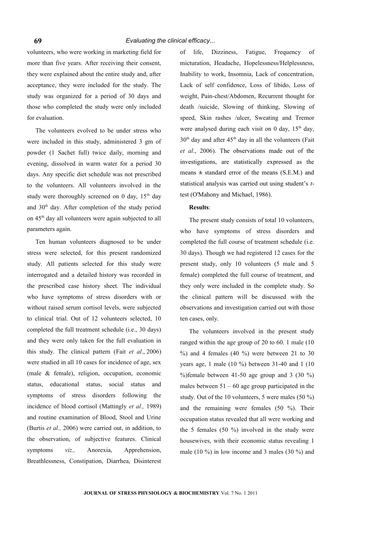volunteers, who were working in marketing field for more than five years. After receiving their consent, they were explained about the entire study and, after acceptance, they were included for the study. The study was organized for a period of 30 days and those who completed the study were only included for evaluation.

The volunteers evolved to be under stress who were included in this study, administered 3 gm of powder (1 Sachet full) twice daily, morning and evening, dissolved in warm water for a period 30 days. Any specific diet schedule was not prescribed to the volunteers. All volunteers involved in the study were thoroughly screened on 0 day,  $15<sup>th</sup>$  day and 30th day. After completion of the study period on 45th day all volunteers were again subjected to all parameters again.

Ten human volunteers diagnosed to be under stress were selected, for this present randomized study. All patients selected for this study were interrogated and a detailed history was recorded in the prescribed case history sheet. The individual who have symptoms of stress disorders with or without raised serum cortisol levels, were subjected to clinical trial. Out of 12 volunteers selected, 10 completed the full treatment schedule (i.e., 30 days) and they were only taken for the full evaluation in this study. The clinical pattern (Fait *et al*., 2006) were studied in all 10 cases for incidence of age, sex (male & female), religion, occupation, economic status, educational status, social status and symptoms of stress disorders following the incidence of blood cortisol (Mattingly *et al.,* 1989) and routine examination of Blood, Stool and Urine (Burtis *et al.,* 2006) were carried out, in addition, to the observation, of subjective features. Clinical symptoms *viz.,* Anorexia, Apprehension, Breathlessness, Constipation, Diarrhea, Disinterest

of life, Dizziness, Fatigue, Frequency of micturation, Headache, Hopelessness/Helplessness, Inability to work, Insomnia, Lack of concentration, Lack of self confidence, Loss of libido, Loss of weight, Pain-chest/Abdomen, Recurrent thought for death /suicide, Slowing of thinking, Slowing of speed, Skin rashes /ulcer, Sweating and Tremor were analysed during each visit on 0 day,  $15<sup>th</sup>$  day,  $30<sup>th</sup>$  day and after  $45<sup>th</sup>$  day in all the volunteers (Fait *et al*., 2006). The observations made out of the investigations, are statistically expressed as the means  $\pm$  standard error of the means (S.E.M.) and statistical analysis was carried out using student's *t*test (O'Mahony and Michael, 1986).

#### **Results**:

The present study consists of total 10 volunteers, who have symptoms of stress disorders and completed the full course of treatment schedule (i.e. 30 days). Though we had registered 12 cases for the present study, only 10 volunteers (5 male and 5 female) completed the full course of treatment, and they only were included in the complete study. So the clinical pattern will be discussed with the observations and investigation carried out with those ten cases, only.

The volunteers involved in the present study ranged within the age group of 20 to 60. 1 male (10  $%$ ) and 4 females (40  $%$ ) were between 21 to 30 years age, 1 male (10 %) between 31-40 and 1 (10 %)female between 41-50 age group and 3  $(30\%)$ males between  $51 - 60$  age group participated in the study. Out of the 10 volunteers, 5 were males (50 %) and the remaining were females (50 %). Their occupation status revealed that all were working and the 5 females (50 %) involved in the study were housewives, with their economic status revealing 1 male (10 %) in low income and 3 males (30 %) and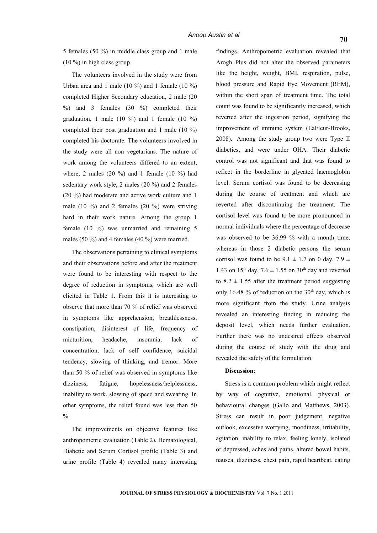5 females (50 %) in middle class group and 1 male (10 %) in high class group.

The volunteers involved in the study were from Urban area and 1 male (10 %) and 1 female (10 %) completed Higher Secondary education, 2 male (20  $\%$ ) and 3 females (30  $\%$ ) completed their graduation, 1 male (10  $\%$ ) and 1 female (10  $\%$ ) completed their post graduation and 1 male (10 %) completed his doctorate. The volunteers involved in the study were all non vegetarians. The nature of work among the volunteers differed to an extent, where, 2 males (20  $\%$ ) and 1 female (10  $\%$ ) had sedentary work style, 2 males (20 %) and 2 females (20 %) had moderate and active work culture and 1 male (10 %) and 2 females (20 %) were striving hard in their work nature. Among the group 1 female (10 %) was unmarried and remaining 5 males (50 %) and 4 females (40 %) were married.

The observations pertaining to clinical symptoms and their observations before and after the treatment were found to be interesting with respect to the degree of reduction in symptoms, which are well elicited in Table 1. From this it is interesting to observe that more than 70 % of relief was observed in symptoms like apprehension, breathlessness, constipation, disinterest of life, frequency of micturition, headache, insomnia, lack of concentration, lack of self confidence, suicidal tendency, slowing of thinking, and tremor. More than 50 % of relief was observed in symptoms like dizziness, fatigue, hopelessness/helplessness, inability to work, slowing of speed and sweating. In other symptoms, the relief found was less than 50  $\frac{0}{6}$ .

The improvements on objective features like anthropometric evaluation (Table 2), Hematological, Diabetic and Serum Cortisol profile (Table 3) and urine profile (Table 4) revealed many interesting findings. Anthropometric evaluation revealed that Arogh Plus did not alter the observed parameters like the height, weight, BMI, respiration, pulse, blood pressure and Rapid Eye Movement (REM), within the short span of treatment time. The total count was found to be significantly increased, which reverted after the ingestion period, signifying the improvement of immune system (LaFleur-Brooks, 2008). Among the study group two were Type II diabetics, and were under OHA. Their diabetic control was not significant and that was found to reflect in the borderline in glycated haemoglobin level. Serum cortisol was found to be decreasing during the course of treatment and which are reverted after discontinuing the treatment. The cortisol level was found to be more pronounced in normal individuals where the percentage of decrease was observed to be 36.99 % with a month time, whereas in those 2 diabetic persons the serum cortisol was found to be  $9.1 \pm 1.7$  on 0 day,  $7.9 \pm 1.7$ 1.43 on 15<sup>th</sup> day, 7.6  $\pm$  1.55 on 30<sup>th</sup> day and reverted to  $8.2 \pm 1.55$  after the treatment period suggesting only 16.48 % of reduction on the  $30<sup>th</sup>$  day, which is more significant from the study. Urine analysis revealed an interesting finding in reducing the deposit level, which needs further evaluation. Further there was no undesired effects observed during the course of study with the drug and revealed the safety of the formulation.

### **Discussion**:

Stress is a common problem which might reflect by way of cognitive, emotional, physical or behavioural changes (Gallo and Matthews, 2003). Stress can result in poor judgement, negative outlook, excessive worrying, moodiness, irritability, agitation, inability to relax, feeling lonely, isolated or depressed, aches and pains, altered bowel habits, nausea, dizziness, chest pain, rapid heartbeat, eating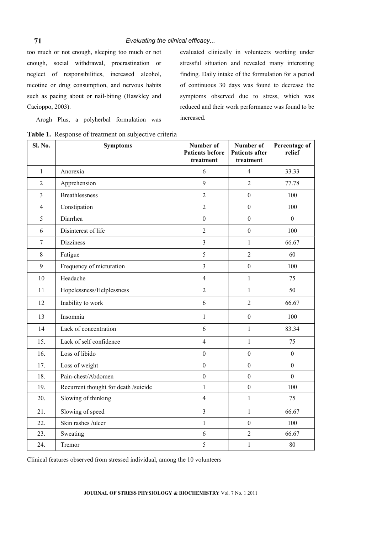too much or not enough, sleeping too much or not enough, social withdrawal, procrastination or neglect of responsibilities, increased alcohol, nicotine or drug consumption, and nervous habits such as pacing about or nail-biting (Hawkley and Cacioppo, 2003).

evaluated clinically in volunteers working under stressful situation and revealed many interesting finding. Daily intake of the formulation for a period of continuous 30 days was found to decrease the symptoms observed due to stress, which was reduced and their work performance was found to be increased.

Arogh Plus, a polyherbal formulation was

**Table 1.** Response of treatment on subjective criteria

| Sl. No.        | <b>Symptoms</b>                      | Number of<br><b>Patients before</b><br>treatment | Number of<br><b>Patients after</b><br>treatment | Percentage of<br>relief |
|----------------|--------------------------------------|--------------------------------------------------|-------------------------------------------------|-------------------------|
| $\mathbf{1}$   | Anorexia                             | 6                                                | $\overline{4}$                                  | 33.33                   |
| $\overline{2}$ | Apprehension                         | 9                                                | $\overline{2}$                                  | 77.78                   |
| $\overline{3}$ | <b>Breathlessness</b>                | $\overline{2}$                                   | $\mathbf{0}$                                    | 100                     |
| $\overline{4}$ | Constipation                         | $\overline{2}$                                   | $\mathbf{0}$                                    | 100                     |
| 5              | Diarrhea                             | $\boldsymbol{0}$                                 | $\theta$                                        | $\Omega$                |
| 6              | Disinterest of life                  | $\overline{2}$                                   | $\boldsymbol{0}$                                | 100                     |
| $\tau$         | <b>Dizziness</b>                     | 3                                                | $\mathbf{1}$                                    | 66.67                   |
| 8              | Fatigue                              | 5                                                | $\overline{2}$                                  | 60                      |
| 9              | Frequency of micturation             | $\overline{3}$                                   | $\mathbf{0}$                                    | 100                     |
| 10             | Headache                             | $\overline{4}$                                   | $\mathbf{1}$                                    | 75                      |
| 11             | Hopelessness/Helplessness            | $\overline{2}$                                   | $\mathbf{1}$                                    | 50                      |
| 12             | Inability to work                    | 6                                                | $\overline{2}$                                  | 66.67                   |
| 13             | Insomnia                             | $\mathbf{1}$                                     | $\mathbf{0}$                                    | 100                     |
| 14             | Lack of concentration                | 6                                                | $\mathbf{1}$                                    | 83.34                   |
| 15.            | Lack of self confidence              | $\overline{4}$                                   | $\mathbf{1}$                                    | 75                      |
| 16.            | Loss of libido                       | $\boldsymbol{0}$                                 | $\mathbf{0}$                                    | $\boldsymbol{0}$        |
| 17.            | Loss of weight                       | $\boldsymbol{0}$                                 | $\mathbf{0}$                                    | $\boldsymbol{0}$        |
| 18.            | Pain-chest/Abdomen                   | $\overline{0}$                                   | $\mathbf{0}$                                    | $\theta$                |
| 19.            | Recurrent thought for death /suicide | $\mathbf{1}$                                     | $\boldsymbol{0}$                                | 100                     |
| 20.            | Slowing of thinking                  | $\overline{4}$                                   | $\mathbf{1}$                                    | 75                      |
| 21.            | Slowing of speed                     | $\mathfrak{Z}$                                   | $\mathbf{1}$                                    | 66.67                   |
| 22.            | Skin rashes /ulcer                   | $\mathbf{1}$                                     | $\boldsymbol{0}$                                | 100                     |
| 23.            | Sweating                             | 6                                                | $\overline{2}$                                  | 66.67                   |
| 24.            | Tremor                               | 5                                                | $\mathbf{1}$                                    | 80                      |

Clinical features observed from stressed individual, among the 10 volunteers

**71**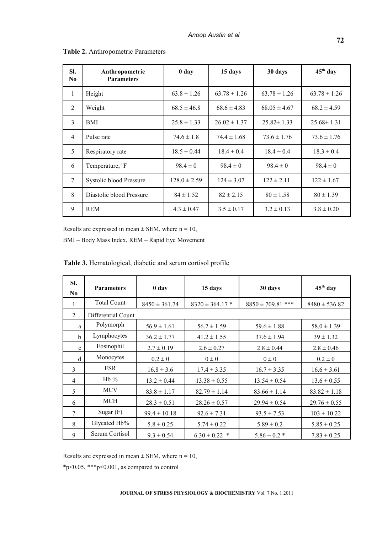| SI.<br>N <sub>0</sub> | Anthropometric<br><b>Parameters</b> | 0 <sub>day</sub> | 15 days          | 30 days          | 45 <sup>th</sup> day |
|-----------------------|-------------------------------------|------------------|------------------|------------------|----------------------|
| $\mathbf{1}$          | Height                              | $63.8 \pm 1.26$  | $63.78 \pm 1.26$ | $63.78 \pm 1.26$ | $63.78 \pm 1.26$     |
| 2                     | Weight                              | $68.5 \pm 46.8$  | $68.6 \pm 4.83$  | $68.05 \pm 4.67$ | $68.2 \pm 4.59$      |
| 3                     | <b>BMI</b>                          | $25.8 \pm 1.33$  | $26.02 \pm 1.37$ | $25.82 \pm 1.33$ | $25.68 \pm 1.31$     |
| $\overline{4}$        | Pulse rate                          | $74.6 \pm 1.8$   | $74.4 \pm 1.68$  | $73.6 \pm 1.76$  | $73.6 \pm 1.76$      |
| 5                     | Respiratory rate                    | $18.5 \pm 0.44$  | $18.4 \pm 0.4$   | $18.4 \pm 0.4$   | $18.3 \pm 0.4$       |
| 6                     | Temperature, <sup>0</sup> F         | $98.4 \pm 0$     | $98.4 \pm 0$     | $98.4 \pm 0$     | $98.4 \pm 0$         |
| $\tau$                | Systolic blood Pressure             | $128.0 \pm 2.59$ | $124 \pm 3.07$   | $122 \pm 2.11$   | $122 \pm 1.67$       |
| 8                     | Diastolic blood Pressure            | $84 \pm 1.52$    | $82 \pm 2.15$    | $80 \pm 1.58$    | $80 \pm 1.39$        |
| 9                     | <b>REM</b>                          | $4.3 \pm 0.47$   | $3.5 \pm 0.17$   | $3.2 \pm 0.13$   | $3.8 \pm 0.20$       |

### **Table 2.** Anthropometric Parameters

Results are expressed in mean  $\pm$  SEM, where n = 10,

BMI – Body Mass Index, REM – Rapid Eye Movement

| Table 3. Hematological, diabetic and serum cortisol profile |  |
|-------------------------------------------------------------|--|
|                                                             |  |

| SI.<br>$\bf No$ | <b>Parameters</b>  | 0 day             | 15 days             | 30 days               | 45 <sup>th</sup> day |
|-----------------|--------------------|-------------------|---------------------|-----------------------|----------------------|
|                 | <b>Total Count</b> | $8450 \pm 361.74$ | $8320 \pm 364.17$ * | $8850 \pm 709.81$ *** | $8480 \pm 536.82$    |
| 2               | Differential Count |                   |                     |                       |                      |
| a               | Polymorph          | $56.9 \pm 1.61$   | $56.2 \pm 1.59$     | $59.6 \pm 1.88$       | $58.0 \pm 1.39$      |
| $\mathbf b$     | Lymphocytes        | $36.2 \pm 1.77$   | $41.2 \pm 1.55$     | $37.6 \pm 1.94$       | $39 \pm 1.32$        |
| $\mathbf c$     | Eosinophil         | $2.7 \pm 0.19$    | $2.6 \pm 0.27$      | $2.8 \pm 0.44$        | $2.8 \pm 0.46$       |
| d               | Monocytes          | $0.2 \pm 0$       | $0\pm 0$            | $0\pm 0$              | $0.2 \pm 0$          |
| 3               | <b>ESR</b>         | $16.8 \pm 3.6$    | $17.4 \pm 3.35$     | $16.7 \pm 3.35$       | $16.6 \pm 3.61$      |
| $\overline{4}$  | $Hb\%$             | $13.2 \pm 0.44$   | $13.38 \pm 0.55$    | $13.54 \pm 0.54$      | $13.6 \pm 0.55$      |
| 5               | <b>MCV</b>         | $83.8 \pm 1.17$   | $82.79 \pm 1.14$    | $83.66 \pm 1.14$      | $83.82 \pm 1.18$     |
| 6               | <b>MCH</b>         | $28.3 \pm 0.51$   | $28.26 \pm 0.57$    | $29.94 \pm 0.54$      | $29.76 \pm 0.55$     |
| 7               | Sugar $(F)$        | $99.4 \pm 10.18$  | $92.6 \pm 7.31$     | $93.5 \pm 7.53$       | $103 \pm 10.22$      |
| 8               | Glycated Hb%       | $5.8 \pm 0.25$    | $5.74 \pm 0.22$     | $5.89 \pm 0.2$        | $5.85 \pm 0.25$      |
| 9               | Serum Cortisol     | $9.3 \pm 0.54$    | $6.30 \pm 0.22$ *   | $5.86 \pm 0.2$ *      | $7.83 \pm 0.25$      |

Results are expressed in mean  $\pm$  SEM, where n = 10,

\*p<0.05, \*\*\*p<0.001, as compared to control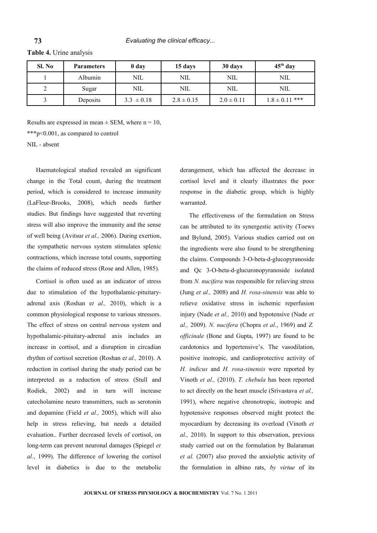**Table 4.** Urine analysis

**73**

| Sl. No | <b>Parameters</b> | 0 day          | 15 days        | 30 days        | $45th$ day         |
|--------|-------------------|----------------|----------------|----------------|--------------------|
|        | Albumin           | NIL            | <b>NIL</b>     | NIL            | NIL                |
|        | Sugar             | NIL            | NIL            | NIL            | NIL                |
|        | Deposits          | $3.3 \pm 0.18$ | $2.8 \pm 0.15$ | $2.0 \pm 0.11$ | $1.8 \pm 0.11$ *** |

Results are expressed in mean  $\pm$  SEM, where n = 10,

\*\*\*p<0.001, as compared to control

NIL - absent

Haematological studied revealed an significant change in the Total count, during the treatment period, which is considered to increase immunity (LaFleur-Brooks, 2008), which needs further studies. But findings have suggested that reverting stress will also improve the immunity and the sense of well being (Avitsur *et al.,* 2006). During exertion, the sympathetic nervous system stimulates splenic contractions, which increase total counts, supporting the claims of reduced stress (Rose and Allen, 1985).

Cortisol is often used as an indicator of stress due to stimulation of the hypothalamic-pituitaryadrenal axis (Roshan e*t al.,* 2010), which is a common physiological response to various stressors. The effect of stress on central nervous system and hypothalamic-pituitary-adrenal axis includes an increase in cortisol, and a disruption in circadian rhythm of cortisol secretion (Roshan e*t al.,* 2010). A reduction in cortisol during the study period can be interpreted as a reduction of stress (Stull and Rodiek, 2002) and in turn will increase catecholamine neuro transmitters, such as serotonin and dopamine (Field *et al.,* 2005), which will also help in stress relieving, but needs a detailed evaluation.. Further decreased levels of cortisol, on long-term can prevent neuronal damages (Spiegel *et al.*, 1999). The difference of lowering the cortisol level in diabetics is due to the metabolic

derangement, which has affected the decrease in cortisol level and it clearly illustrates the poor response in the diabetic group, which is highly warranted.

The effectiveness of the formulation on Stress can be attributed to its synergestic activity (Toews and Bylund, 2005). Various studies carried out on the ingredients were also found to be strengthening the claims. Compounds 3-O-beta-d-glucopyranoside and Qc 3-O-beta-d-glucuronopyranoside isolated from *N. nucifera* was responsible for relieving stress (Jung *et al.,* 2008) and *H. rosa-sinensis* was able to relieve oxidative stress in ischemic reperfusion injury (Nade *et al.,* 2010) and hypotensive (Nade *et al.,* 2009). *N. nucifera* (Chopra *et al.*, 1969) and *Z. officinale* (Bone and Gupta, 1997) are found to be cardotonics and hypertensive's. The vasodilation, positive inotropic, and cardioprotective activity of *H. indicus* and *H. rosa-sinensis* were reported by Vinoth *et al.,* (2010). *T. chebula* has been reported to act directly on the heart muscle (Srivastava *et al.,* 1991), where negative chronotropic, inotropic and hypotensive responses observed might protect the myocardium by decreasing its overload (Vinoth *et al.,* 2010). In support to this observation, previous study carried out on the formulation by Balaraman *et al.* (2007) also proved the anxiolytic activity of the formulation in albino rats, *by virtue* of its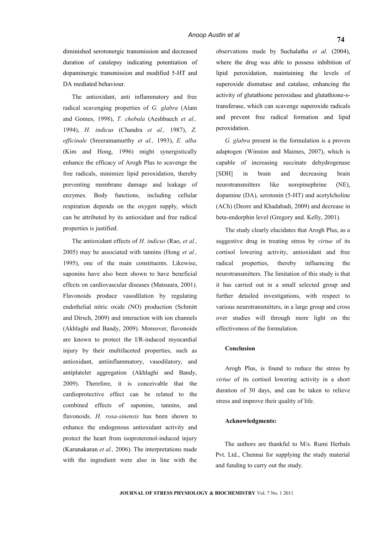diminished serotonergic transmission and decreased duration of catalepsy indicating potentiation of dopaminergic transmission and modified 5-HT and DA mediated behaviour.

The antioxidant, anti inflammatory and free radical scavenging properties of *G. glabra* (Alam and Gomes, 1998), *T. chebula* (Aeshbaech *et al.,* 1994), *H. indicus* (Chandra *et al.,* 1987), *Z. officinale* (Sreeramamurthy *et al.,* 1993), *E. alba* (Kim and Hong, 1996) might synergistically enhance the efficacy of Arogh Plus to scavenge the free radicals, minimize lipid peroxidation, thereby preventing membrane damage and leakage of enzymes. Body functions, including cellular respiration depends on the oxygen supply, which can be attributed by its antioxidant and free radical properties is justified.

The antioxidant effects of *H. indicus* (Rao, *et al.,* 2005) may be associated with tannins (Hong *et al.,* 1995), one of the main constituents. Likewise, saponins have also been shown to have beneficial effects on cardiovascular diseases (Matsuura, 2001). Flavonoids produce vasodilation by regulating endothelial nitric oxide (NO) production (Schmitt and Dirsch, 2009) and interaction with ion channels (Akhlaghi and Bandy, 2009). Moreover, flavonoids are known to protect the I/R-induced myocardial injury by their multifaceted properties, such as antioxidant, antiinflammatory, vasodilatory, and antiplatelet aggregation (Akhlaghi and Bandy, 2009). Therefore, it is conceivable that the cardioprotective effect can be related to the combined effects of saponins, tannins, and flavonoids. *H. rosa-sinensis* has been shown to enhance the endogenous antioxidant activity and protect the heart from isoproterenol-induced injury (Karunakaran *et al.,* 2006). The interpretations made with the ingredient were also in line with the

observations made by Suchalatha *et al.* (2004), where the drug was able to possess inhibition of lipid peroxidation, maintaining the levels of superoxide dismutase and catalase, enhancing the activity of glutathione peroxidase and glutathione-stransferase, which can scavenge superoxide radicals and prevent free radical formation and lipid peroxidation.

*G. glabra* present in the formulation is a proven adaptogen (Winston and Maimes, 2007), which is capable of increasing succinate dehydrogenase [SDH] in brain and decreasing brain neurotransmitters like norepinephrine (NE), dopamine (DA), serotonin (5-HT) and acetylcholine (ACh) (Deore and Khadabadi, 2009) and decrease in beta-endorphin level (Gregory and. Kelly, 2001).

The study clearly elucidates that Arogh Plus, as a suggestive drug in treating stress by *virtue* of its cortisol lowering activity, antioxidant and free radical properties, thereby influencing the neurotransmitters. The limitation of this study is that it has carried out in a small selected group and further detailed investigations, with respect to various neurotransmitters, in a large group and cross over studies will through more light on the effectiveness of the formulation.

#### **Conclusion**

Arogh Plus, is found to reduce the stress by *virtue* of its cortisol lowering activity in a short duration of 30 days, and can be taken to relieve stress and improve their quality of life.

#### **Acknowledgments:**

The authors are thankful to M/s. Rumi Herbals Pvt. Ltd., Chennai for supplying the study material and funding to carry out the study.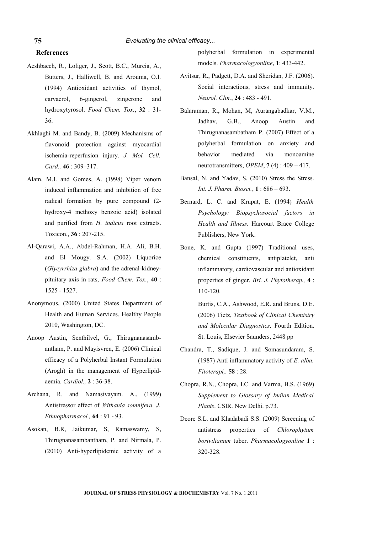# **References**

**75**

- Aeshbaech, R., Loliger, J., Scott, B.C., Murcia, A., Butters, J., Halliwell, B. and Arouma, O.I. (1994) Antioxidant activities of thymol, carvacrol, 6-gingerol, zingerone and hydroxytyrosol. *Food Chem. Tox.*, **32** : 31- 36.
- Akhlaghi M. and Bandy, B. (2009) Mechanisms of flavonoid protection against myocardial ischemia-reperfusion injury. *J. Mol. Cell. Card.,* **46** : 309–317.
- Alam, M.I. and Gomes, A. (1998) Viper venom induced inflammation and inhibition of free radical formation by pure compound (2 hydroxy-4 methoxy benzoic acid) isolated and purified from *H. indicus* root extracts. Toxicon., **36** : 207-215.
- Al-Qarawi, A.A., Abdel-Rahman, H.A. Ali, B.H. and El Mougy. S.A. (2002) Liquorice (*Glycyrrhiza glabra*) and the adrenal-kidneypituitary axis in rats, *Food Chem. Tox.*, **40** : 1525 - 1527.
- Anonymous, (2000) United States Department of Health and Human Services. Healthy People 2010, Washington, DC.
- Anoop Austin, Senthilvel, G., Thirugnanasambantham, P. and Mayisvren, E. (2006) Clinical efficacy of a Polyherbal Instant Formulation (Arogh) in the management of Hyperlipidaemia. *Cardiol.,* **2** : 36-38.
- Archana, R. and Namasivayam. A., (1999) Antistressor effect of *Withania somnifera. J. Ethnopharmacol.,* **64** : 91 - 93.
- Asokan, B.R, Jaikumar, S, Ramaswamy, S, Thirugnanasambantham, P. and Nirmala, P. (2010) Anti-hyperlipidemic activity of a

polyherbal formulation in experimental models. *Pharmacologyonline*, **1**: 433-442.

- Avitsur, R., Padgett, D.A. and Sheridan, J.F. (2006). Social interactions, stress and immunity. *Neurol. Clin.*, **24** : 483 - 491.
- Balaraman, R., Mohan, M, Aurangabadkar, V.M., Jadhav, G.B., Anoop Austin and Thirugnanasambatham P. (2007) Effect of a polyherbal formulation on anxiety and behavior mediated via monoamine neurotransmitters, *OPEM*, **7** (4) : 409 – 417.
- Bansal, N. and Yadav, S. (2010) Stress the Stress. *Int. J. Pharm. Biosci.*, **1** : 686 – 693.
- Bernard, L. C. and Krupat, E. (1994) *Health Psychology: Biopsychosocial factors in Health and Illness.* Harcourt Brace College Publishers, New York.
- Bone, K. and Gupta (1997) Traditional uses, chemical constituents, antiplatelet, anti inflammatory, cardiovascular and antioxidant properties of ginger. *Bri. J. Phytotherap.,* **4** : 110-120.

Burtis, C.A., Ashwood, E.R. and Bruns, D.E. (2006) Tietz, *Textbook of Clinical Chemistry and Molecular Diagnostics,* Fourth Edition. St. Louis, Elsevier Saunders, 2448 pp

- Chandra, T., Sadique, J. and Somasundaram, S. (1987) Anti inflammatory activity of *E. alba. Fitoterapi,.* **58** : 28.
- Chopra, R.N., Chopra, I.C. and Varma, B.S. (1969) *Supplement to Glossary of Indian Medical Plants*. CSIR. New Delhi. p.73.
- Deore S.L. and Khadabadi S.S. (2009) Screening of antistress properties of *Chlorophytum borivilianum* tuber. *Pharmacologyonline* **1** : 320-328.

**JOURNAL OF STRESS PHYSIOLOGY & BIOCHEMISTRY** Vol. 7 No. 1 2011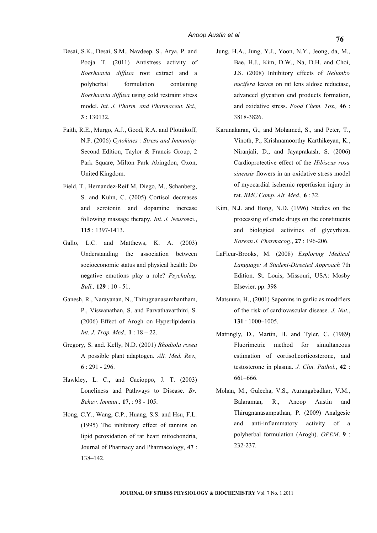- Desai, S.K., Desai, S.M., Navdeep, S., Arya, P. and Pooja T. (2011) Antistress activity of *Boerhaavia diffusa* root extract and a polyherbal formulation containing *Boerhaavia diffusa* using cold restraint stress model. *Int. J. Pharm. and Pharmaceut. Sci.,* **3** : 130132.
- Faith, R.E., Murgo, A.J., Good, R.A. and Plotnikoff, N.P. (2006) *Cytokines : Stress and Immunity.* Second Edition, Taylor & Francis Group, 2 Park Square, Milton Park Abingdon, Oxon, United Kingdom.
- Field, T., Hernandez-Reif M, Diego, M., Schanberg, S. and Kuhn, C. (2005) Cortisol decreases and serotonin and dopamine increase following massage therapy. *Int. J. Neuro*sci., **115** : 1397-1413.
- Gallo, L.C. and Matthews, K. A. (2003) Understanding the association between socioeconomic status and physical health: Do negative emotions play a role? *Psycholog. Bull.,* **129** : 10 - 51.
- Ganesh, R., Narayanan, N., Thirugnanasambantham, P., Viswanathan, S. and Parvathavarthini, S. (2006) Effect of Arogh on Hyperlipidemia. *Int. J. Trop. Med.,* **1** : 18 – 22.
- Gregory, S. and. Kelly, N.D. (2001) *Rhodiola rosea* A possible plant adaptogen. *Alt. Med. Rev.,* **6** : 291 - 296.
- Hawkley, L. C., and Cacioppo, J. T. (2003) Loneliness and Pathways to Disease. *Br. Behav. Immun.,* **17**, : 98 - 105.
- Hong, C.Y., Wang, C.P., Huang, S.S. and Hsu, F.L. (1995) The inhibitory effect of tannins on lipid peroxidation of rat heart mitochondria, Journal of Pharmacy and Pharmacology, **47** : 138–142.
- Jung, H.A., Jung, Y.J., Yoon, N.Y., Jeong, da, M., Bae, H.J., Kim, D.W., Na, D.H. and Choi, J.S. (2008) Inhibitory effects of *Nelumbo nucifera* leaves on rat lens aldose reductase, advanced glycation end products formation, and oxidative stress. *Food Chem. Tox.,* **46** : 3818-3826.
- Karunakaran, G., and Mohamed, S., and Peter, T., Vinoth, P., Krishnamoorthy Karthikeyan, K., Niranjali, D., and Jayaprakash, S. (2006) Cardioprotective effect of the *Hibiscus rosa sinensis* flowers in an oxidative stress model of myocardial ischemic reperfusion injury in rat. *BMC Comp. Alt. Med.,* **6** : 32.
- Kim, N.J. and Hong, N.D. (1996) Studies on the processing of crude drugs on the constituents and biological activities of glycyrhiza. *Korean J. Pharmacog*., **27** : 196-206.
- LaFleur-Brooks, M. (2008) *Exploring Medical Language: A Student-Directed Approach* 7th Edition. St. Louis, Missouri, USA: Mosby Elsevier. pp. 398
- Matsuura, H., (2001) Saponins in garlic as modifiers of the risk of cardiovascular disease. *J. Nut.*, **131** : 1000–1005.
- Mattingly, D., Martin, H. and Tyler, C. (1989) Fluorimetric method for simultaneous estimation of cortisol,corticosterone, and testosterone in plasma. *J. Clin. Pathol.*, **42** : 661–666.
- Mohan, M., Gulecha, V.S., Aurangabadkar, V.M., Balaraman, R., Anoop Austin and Thirugnanasampathan, P. (2009) Analgesic and anti-inflammatory activity of a polyherbal formulation (Arogh). *OPEM*. **9** : 232-237.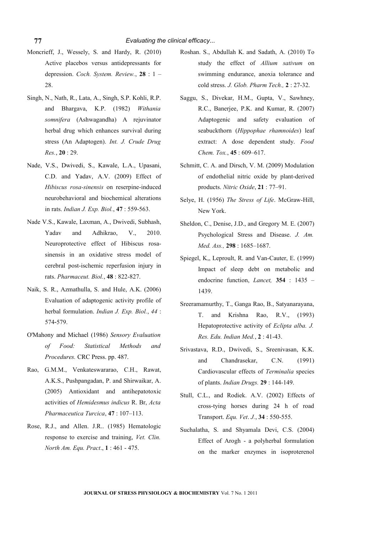- Moncrieff, J., Wessely, S. and Hardy, R. (2010) Active placebos versus antidepressants for depression. *Coch. System. Review.*, **28** : 1 – 28.
- Singh, N., Nath, R., Lata, A., Singh, S.P. Kohli, R.P. and Bhargava, K.P. (1982) *Withania somnifera* (Ashwagandha) A rejuvinator herbal drug which enhances survival during stress (An Adaptogen). *Int. J. Crude Drug Res.*, **20** : 29.
- Nade, V.S., Dwivedi, S., Kawale, L.A., Upasani, C.D. and Yadav, A.V. (2009) Effect of *Hibiscus rosa-sinensis* on reserpine-induced neurobehavioral and biochemical alterations in rats. *Indian J. Exp. Biol.*, **47** : 559-563.
- Nade V.S., Kawale, Laxman, A., Dwivedi, Subhash, Yadav and Adhikrao, V., 2010. Neuroprotective effect of Hibiscus rosasinensis in an oxidative stress model of cerebral post-ischemic reperfusion injury in rats. *Pharmaceut. Biol.*, **48** : 822-827.
- Naik, S. R., Azmathulla, S. and Hule, A.K. (2006) Evaluation of adaptogenic activity profile of herbal formulation. *Indian J. Exp. Biol.*, *44* : 574-579.
- O'Mahony and Michael (1986) *Sensory Evaluation of Food: Statistical Methods and Procedures.* CRC Press. pp. 487.
- Rao, G.M.M., Venkateswararao, C.H., Rawat, A.K.S., Pushpangadan, P. and Shirwaikar, A. (2005) Antioxidant and antihepatotoxic activities of *Hemidesmus indicus* R. Br, *Acta Pharmaceutica Turcica*, **47** : 107–113.
- Rose, R.J., and Allen. J.R.. (1985) Hematologic response to exercise and training, *Vet. Clin. North Am. Equ. Pract*., **1** : 461 - 475.
- Roshan. S., Abdullah K. and Sadath, A. (2010) To study the effect of *Allium sativum* on swimming endurance, anoxia tolerance and cold stress. *J. Glob. Pharm Tech.,* **2** : 27-32.
- Saggu, S., Divekar, H.M., Gupta, V., Sawhney, R.C., Banerjee, P.K. and Kumar, R. (2007) Adaptogenic and safety evaluation of seabuckthorn (*Hippophae rhamnoides*) leaf extract: A dose dependent study. *Food Chem. Tox.*, **45** : 609–617.
- Schmitt, C. A. and Dirsch, V. M. (2009) Modulation of endothelial nitric oxide by plant-derived products. *Nitric Oxide*, **21** : 77–91.
- Selye, H. (1956) *The Stress of Life*. McGraw-Hill, New York.
- Sheldon, C., Denise, J.D., and Gregory M. E. (2007) Psychological Stress and Disease. *J. Am. Med. Ass.,* **298** : 1685–1687.
- Spiegel, K,, Leproult, R. and Van-Cauter, E. (1999) Impact of sleep debt on metabolic and endocrine function, *Lancet,* **354** : 1435 – 1439.
- Sreeramamurthy, T., Ganga Rao, B., Satyanarayana, T. and Krishna Rao, R.V., (1993) Hepatoprotective activity of *Eclipta alba. J. Res. Edu. Indian Med.*, **2** : 41-43.
- Srivastava, R.D., Dwivedi, S., Sreenivasan, K.K. and Chandrasekar, C.N. (1991) Cardiovascular effects of *Terminalia* species of plants. *Indian Drugs.* **29** : 144-149.
- Stull, C.L., and Rodiek. A.V. (2002) Effects of cross-tying horses during 24 h of road Transport. *Equ. Vet*. *J.*, **34** : 550-555.
- Suchalatha, S. and Shyamala Devi, C.S. (2004) Effect of Arogh - a polyherbal formulation on the marker enzymes in isoproterenol

**77**

**JOURNAL OF STRESS PHYSIOLOGY & BIOCHEMISTRY** Vol. 7 No. 1 2011